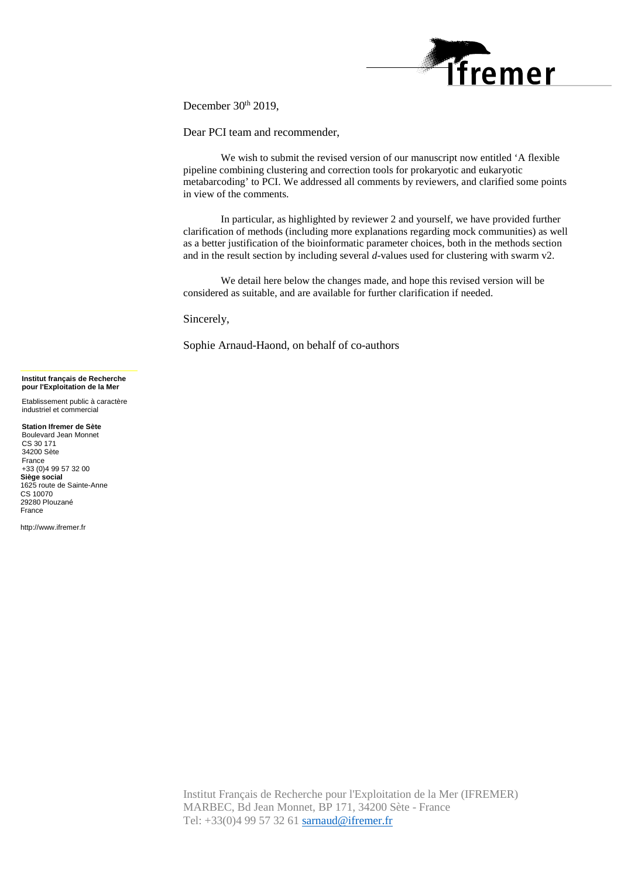

December 30th 2019,

Dear PCI team and recommender,

We wish to submit the revised version of our manuscript now entitled 'A flexible pipeline combining clustering and correction tools for prokaryotic and eukaryotic metabarcoding' to PCI. We addressed all comments by reviewers, and clarified some points in view of the comments.

In particular, as highlighted by reviewer 2 and yourself, we have provided further clarification of methods (including more explanations regarding mock communities) as well as a better justification of the bioinformatic parameter choices, both in the methods section and in the result section by including several *d*-values used for clustering with swarm v2.

We detail here below the changes made, and hope this revised version will be considered as suitable, and are available for further clarification if needed.

Sincerely,

Sophie Arnaud-Haond, on behalf of co-authors

#### **Institut français de Recherche pour l'Exploitation de la Mer**

Etablissement public à caractère industriel et commercial

**Station Ifremer de Sète** Boulevard Jean Monnet CS 30 171 34200 Sète France +33 (0)4 99 57 32 00 **Siège social** 1625 route de Sainte-Anne CS 10070 29280 Plouzané France

http://www.ifremer.fr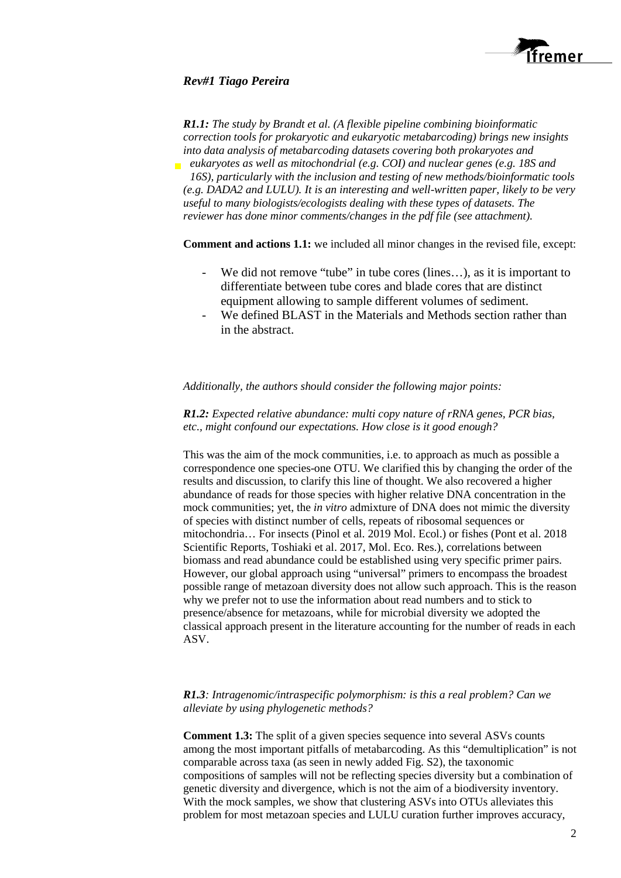

# *Rev#1 Tiago Pereira*

*R1.1: The study by Brandt et al. (A flexible pipeline combining bioinformatic correction tools for prokaryotic and eukaryotic metabarcoding) brings new insights into data analysis of metabarcoding datasets covering both prokaryotes and eukaryotes as well as mitochondrial (e.g. COI) and nuclear genes (e.g. 18S and 16S), particularly with the inclusion and testing of new methods/bioinformatic tools (e.g. DADA2 and LULU). It is an interesting and well-written paper, likely to be very useful to many biologists/ecologists dealing with these types of datasets. The reviewer has done minor comments/changes in the pdf file (see attachment).*

**Comment and actions 1.1:** we included all minor changes in the revised file, except:

- We did not remove "tube" in tube cores (lines...), as it is important to differentiate between tube cores and blade cores that are distinct equipment allowing to sample different volumes of sediment.
- We defined BLAST in the Materials and Methods section rather than in the abstract.

## *Additionally, the authors should consider the following major points:*

*R1.2: Expected relative abundance: multi copy nature of rRNA genes, PCR bias, etc., might confound our expectations. How close is it good enough?*

This was the aim of the mock communities, i.e. to approach as much as possible a correspondence one species-one OTU. We clarified this by changing the order of the results and discussion, to clarify this line of thought. We also recovered a higher abundance of reads for those species with higher relative DNA concentration in the mock communities; yet, the *in vitro* admixture of DNA does not mimic the diversity of species with distinct number of cells, repeats of ribosomal sequences or mitochondria… For insects (Pinol et al. 2019 Mol. Ecol.) or fishes (Pont et al. 2018 Scientific Reports, Toshiaki et al. 2017, Mol. Eco. Res.), correlations between biomass and read abundance could be established using very specific primer pairs. However, our global approach using "universal" primers to encompass the broadest possible range of metazoan diversity does not allow such approach. This is the reason why we prefer not to use the information about read numbers and to stick to presence/absence for metazoans, while for microbial diversity we adopted the classical approach present in the literature accounting for the number of reads in each ASV.

# *R1.3: Intragenomic/intraspecific polymorphism: is this a real problem? Can we alleviate by using phylogenetic methods?*

**Comment 1.3:** The split of a given species sequence into several ASVs counts among the most important pitfalls of metabarcoding. As this "demultiplication" is not comparable across taxa (as seen in newly added Fig. S2), the taxonomic compositions of samples will not be reflecting species diversity but a combination of genetic diversity and divergence, which is not the aim of a biodiversity inventory. With the mock samples, we show that clustering ASVs into OTUs alleviates this problem for most metazoan species and LULU curation further improves accuracy,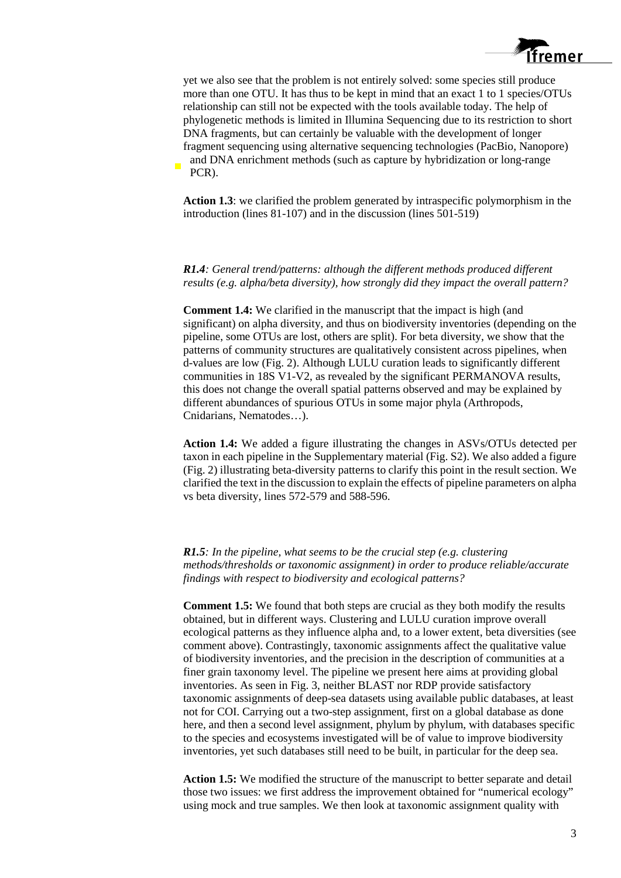

yet we also see that the problem is not entirely solved: some species still produce more than one OTU. It has thus to be kept in mind that an exact 1 to 1 species/OTUs relationship can still not be expected with the tools available today. The help of phylogenetic methods is limited in Illumina Sequencing due to its restriction to short DNA fragments, but can certainly be valuable with the development of longer fragment sequencing using alternative sequencing technologies (PacBio, Nanopore) and DNA enrichment methods (such as capture by hybridization or long-range PCR).

**Action 1.3**: we clarified the problem generated by intraspecific polymorphism in the introduction (lines 81-107) and in the discussion (lines 501-519)

*R1.4: General trend/patterns: although the different methods produced different results (e.g. alpha/beta diversity), how strongly did they impact the overall pattern?*

**Comment 1.4:** We clarified in the manuscript that the impact is high (and significant) on alpha diversity, and thus on biodiversity inventories (depending on the pipeline, some OTUs are lost, others are split). For beta diversity, we show that the patterns of community structures are qualitatively consistent across pipelines, when d-values are low (Fig. 2). Although LULU curation leads to significantly different communities in 18S V1-V2, as revealed by the significant PERMANOVA results, this does not change the overall spatial patterns observed and may be explained by different abundances of spurious OTUs in some major phyla (Arthropods, Cnidarians, Nematodes…).

**Action 1.4:** We added a figure illustrating the changes in ASVs/OTUs detected per taxon in each pipeline in the Supplementary material (Fig. S2). We also added a figure (Fig. 2) illustrating beta-diversity patterns to clarify this point in the result section. We clarified the text in the discussion to explain the effects of pipeline parameters on alpha vs beta diversity, lines 572-579 and 588-596.

*R1.5: In the pipeline, what seems to be the crucial step (e.g. clustering methods/thresholds or taxonomic assignment) in order to produce reliable/accurate findings with respect to biodiversity and ecological patterns?*

**Comment 1.5:** We found that both steps are crucial as they both modify the results obtained, but in different ways. Clustering and LULU curation improve overall ecological patterns as they influence alpha and, to a lower extent, beta diversities (see comment above). Contrastingly, taxonomic assignments affect the qualitative value of biodiversity inventories, and the precision in the description of communities at a finer grain taxonomy level. The pipeline we present here aims at providing global inventories. As seen in Fig. 3, neither BLAST nor RDP provide satisfactory taxonomic assignments of deep-sea datasets using available public databases, at least not for COI. Carrying out a two-step assignment, first on a global database as done here, and then a second level assignment, phylum by phylum, with databases specific to the species and ecosystems investigated will be of value to improve biodiversity inventories, yet such databases still need to be built, in particular for the deep sea.

**Action 1.5:** We modified the structure of the manuscript to better separate and detail those two issues: we first address the improvement obtained for "numerical ecology" using mock and true samples. We then look at taxonomic assignment quality with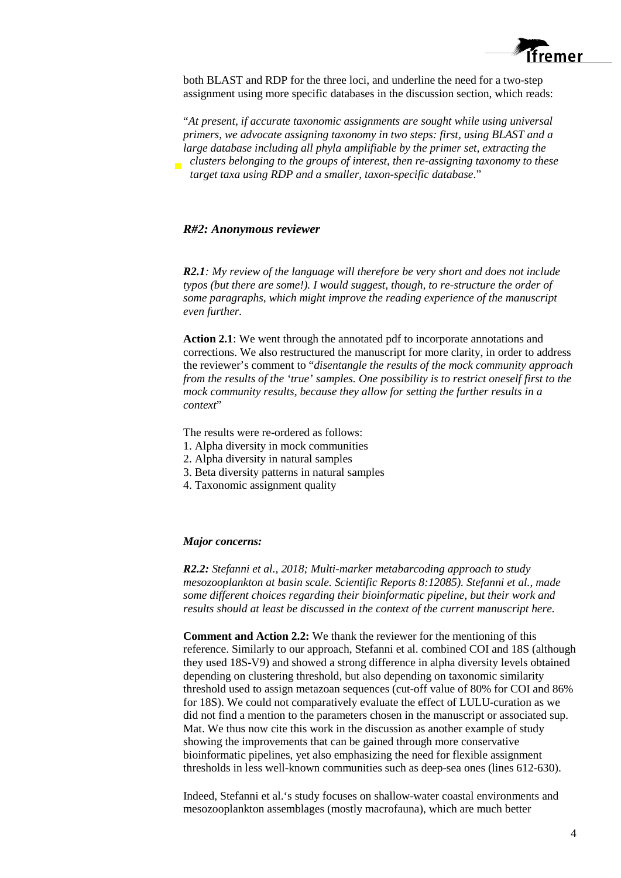

both BLAST and RDP for the three loci, and underline the need for a two-step assignment using more specific databases in the discussion section, which reads:

"*At present, if accurate taxonomic assignments are sought while using universal primers, we advocate assigning taxonomy in two steps: first, using BLAST and a large database including all phyla amplifiable by the primer set, extracting the clusters belonging to the groups of interest, then re-assigning taxonomy to these target taxa using RDP and a smaller, taxon-specific database*."

#### *R#2: Anonymous reviewer*

*R2.1: My review of the language will therefore be very short and does not include typos (but there are some!). I would suggest, though, to re-structure the order of some paragraphs, which might improve the reading experience of the manuscript even further.*

**Action 2.1**: We went through the annotated pdf to incorporate annotations and corrections. We also restructured the manuscript for more clarity, in order to address the reviewer's comment to "*disentangle the results of the mock community approach from the results of the 'true' samples. One possibility is to restrict oneself first to the mock community results, because they allow for setting the further results in a context*"

The results were re-ordered as follows:

- 1. Alpha diversity in mock communities
- 2. Alpha diversity in natural samples
- 3. Beta diversity patterns in natural samples
- 4. Taxonomic assignment quality

#### *Major concerns:*

*R2.2: Stefanni et al., 2018; Multi-marker metabarcoding approach to study mesozooplankton at basin scale. Scientific Reports 8:12085). Stefanni et al., made some different choices regarding their bioinformatic pipeline, but their work and results should at least be discussed in the context of the current manuscript here.*

**Comment and Action 2.2:** We thank the reviewer for the mentioning of this reference. Similarly to our approach, Stefanni et al. combined COI and 18S (although they used 18S-V9) and showed a strong difference in alpha diversity levels obtained depending on clustering threshold, but also depending on taxonomic similarity threshold used to assign metazoan sequences (cut-off value of 80% for COI and 86% for 18S). We could not comparatively evaluate the effect of LULU-curation as we did not find a mention to the parameters chosen in the manuscript or associated sup. Mat. We thus now cite this work in the discussion as another example of study showing the improvements that can be gained through more conservative bioinformatic pipelines, yet also emphasizing the need for flexible assignment thresholds in less well-known communities such as deep-sea ones (lines 612-630).

Indeed, Stefanni et al.'s study focuses on shallow-water coastal environments and mesozooplankton assemblages (mostly macrofauna), which are much better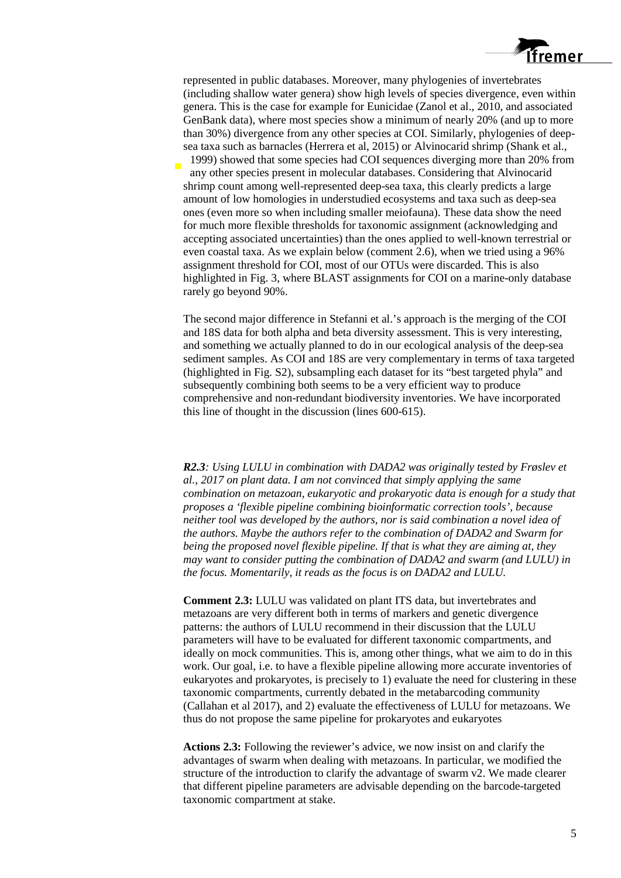

represented in public databases. Moreover, many phylogenies of invertebrates (including shallow water genera) show high levels of species divergence, even within genera. This is the case for example for Eunicidae (Zanol et al., 2010, and associated GenBank data), where most species show a minimum of nearly 20% (and up to more than 30%) divergence from any other species at COI. Similarly, phylogenies of deepsea taxa such as barnacles (Herrera et al, 2015) or Alvinocarid shrimp (Shank et al.,

1999) showed that some species had COI sequences diverging more than 20% from any other species present in molecular databases. Considering that Alvinocarid shrimp count among well-represented deep-sea taxa, this clearly predicts a large amount of low homologies in understudied ecosystems and taxa such as deep-sea ones (even more so when including smaller meiofauna). These data show the need for much more flexible thresholds for taxonomic assignment (acknowledging and accepting associated uncertainties) than the ones applied to well-known terrestrial or even coastal taxa. As we explain below (comment 2.6), when we tried using a 96% assignment threshold for COI, most of our OTUs were discarded. This is also highlighted in Fig. 3, where BLAST assignments for COI on a marine-only database rarely go beyond 90%.

The second major difference in Stefanni et al.'s approach is the merging of the COI and 18S data for both alpha and beta diversity assessment. This is very interesting, and something we actually planned to do in our ecological analysis of the deep-sea sediment samples. As COI and 18S are very complementary in terms of taxa targeted (highlighted in Fig. S2), subsampling each dataset for its "best targeted phyla" and subsequently combining both seems to be a very efficient way to produce comprehensive and non-redundant biodiversity inventories. We have incorporated this line of thought in the discussion (lines 600-615).

*R2.3: Using LULU in combination with DADA2 was originally tested by Frøslev et al., 2017 on plant data. I am not convinced that simply applying the same combination on metazoan, eukaryotic and prokaryotic data is enough for a study that proposes a 'flexible pipeline combining bioinformatic correction tools', because neither tool was developed by the authors, nor is said combination a novel idea of the authors. Maybe the authors refer to the combination of DADA2 and Swarm for being the proposed novel flexible pipeline. If that is what they are aiming at, they may want to consider putting the combination of DADA2 and swarm (and LULU) in the focus. Momentarily, it reads as the focus is on DADA2 and LULU.* 

**Comment 2.3:** LULU was validated on plant ITS data, but invertebrates and metazoans are very different both in terms of markers and genetic divergence patterns: the authors of LULU recommend in their discussion that the LULU parameters will have to be evaluated for different taxonomic compartments, and ideally on mock communities. This is, among other things, what we aim to do in this work. Our goal, i.e. to have a flexible pipeline allowing more accurate inventories of eukaryotes and prokaryotes, is precisely to 1) evaluate the need for clustering in these taxonomic compartments, currently debated in the metabarcoding community (Callahan et al 2017), and 2) evaluate the effectiveness of LULU for metazoans. We thus do not propose the same pipeline for prokaryotes and eukaryotes

**Actions 2.3:** Following the reviewer's advice, we now insist on and clarify the advantages of swarm when dealing with metazoans. In particular, we modified the structure of the introduction to clarify the advantage of swarm v2. We made clearer that different pipeline parameters are advisable depending on the barcode-targeted taxonomic compartment at stake.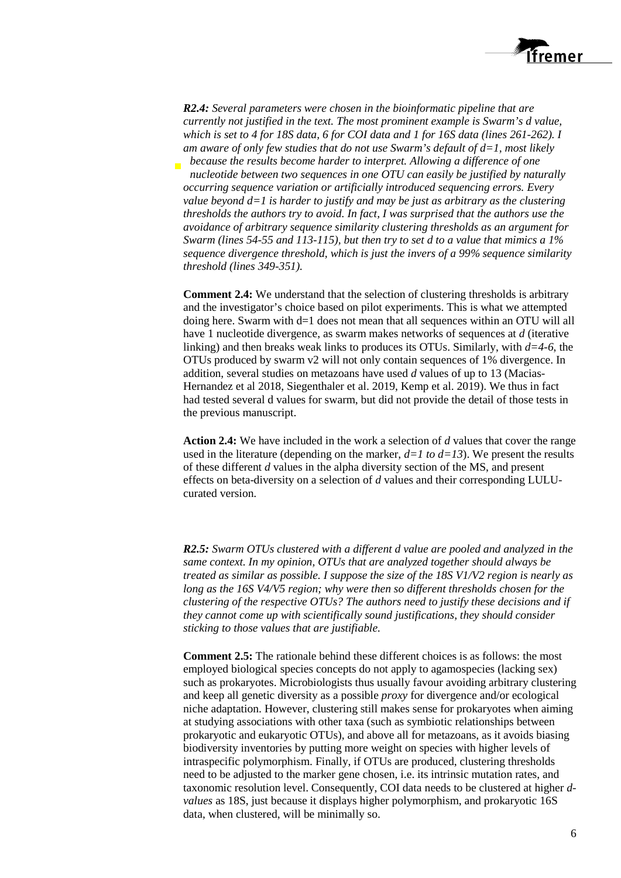

*R2.4: Several parameters were chosen in the bioinformatic pipeline that are currently not justified in the text. The most prominent example is Swarm's d value, which is set to 4 for 18S data, 6 for COI data and 1 for 16S data (lines 261-262). I am aware of only few studies that do not use Swarm's default of d=1, most likely because the results become harder to interpret. Allowing a difference of one nucleotide between two sequences in one OTU can easily be justified by naturally occurring sequence variation or artificially introduced sequencing errors. Every value beyond d=1 is harder to justify and may be just as arbitrary as the clustering thresholds the authors try to avoid. In fact, I was surprised that the authors use the avoidance of arbitrary sequence similarity clustering thresholds as an argument for Swarm (lines 54-55 and 113-115), but then try to set d to a value that mimics a 1% sequence divergence threshold, which is just the invers of a 99% sequence similarity threshold (lines 349-351).* 

**Comment 2.4:** We understand that the selection of clustering thresholds is arbitrary and the investigator's choice based on pilot experiments. This is what we attempted doing here. Swarm with d=1 does not mean that all sequences within an OTU will all have 1 nucleotide divergence, as swarm makes networks of sequences at *d* (iterative linking) and then breaks weak links to produces its OTUs. Similarly, with *d=4-6*, the OTUs produced by swarm v2 will not only contain sequences of 1% divergence. In addition, several studies on metazoans have used *d* values of up to 13 (Macias-Hernandez et al 2018, Siegenthaler et al. 2019, Kemp et al. 2019). We thus in fact had tested several d values for swarm, but did not provide the detail of those tests in the previous manuscript.

**Action 2.4:** We have included in the work a selection of *d* values that cover the range used in the literature (depending on the marker,  $d=1$  to  $d=13$ ). We present the results of these different *d* values in the alpha diversity section of the MS, and present effects on beta-diversity on a selection of *d* values and their corresponding LULUcurated version.

*R2.5: Swarm OTUs clustered with a different d value are pooled and analyzed in the same context. In my opinion, OTUs that are analyzed together should always be treated as similar as possible. I suppose the size of the 18S V1/V2 region is nearly as long as the 16S V4/V5 region; why were then so different thresholds chosen for the clustering of the respective OTUs? The authors need to justify these decisions and if they cannot come up with scientifically sound justifications, they should consider sticking to those values that are justifiable.* 

**Comment 2.5:** The rationale behind these different choices is as follows: the most employed biological species concepts do not apply to agamospecies (lacking sex) such as prokaryotes. Microbiologists thus usually favour avoiding arbitrary clustering and keep all genetic diversity as a possible *proxy* for divergence and/or ecological niche adaptation. However, clustering still makes sense for prokaryotes when aiming at studying associations with other taxa (such as symbiotic relationships between prokaryotic and eukaryotic OTUs), and above all for metazoans, as it avoids biasing biodiversity inventories by putting more weight on species with higher levels of intraspecific polymorphism. Finally, if OTUs are produced, clustering thresholds need to be adjusted to the marker gene chosen, i.e. its intrinsic mutation rates, and taxonomic resolution level. Consequently, COI data needs to be clustered at higher *dvalues* as 18S, just because it displays higher polymorphism, and prokaryotic 16S data, when clustered, will be minimally so.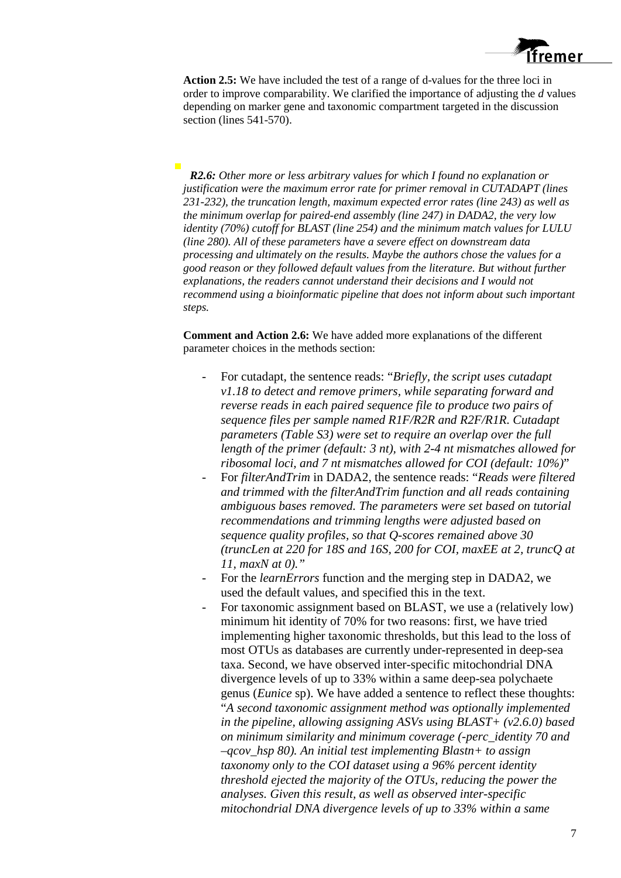

**Action 2.5:** We have included the test of a range of d-values for the three loci in order to improve comparability. We clarified the importance of adjusting the *d* values depending on marker gene and taxonomic compartment targeted in the discussion section (lines 541-570).

*R2.6: Other more or less arbitrary values for which I found no explanation or justification were the maximum error rate for primer removal in CUTADAPT (lines 231-232), the truncation length, maximum expected error rates (line 243) as well as the minimum overlap for paired-end assembly (line 247) in DADA2, the very low identity (70%) cutoff for BLAST (line 254) and the minimum match values for LULU (line 280). All of these parameters have a severe effect on downstream data processing and ultimately on the results. Maybe the authors chose the values for a good reason or they followed default values from the literature. But without further explanations, the readers cannot understand their decisions and I would not recommend using a bioinformatic pipeline that does not inform about such important steps.* 

**Comment and Action 2.6:** We have added more explanations of the different parameter choices in the methods section:

- For cutadapt, the sentence reads: "*Briefly, the script uses cutadapt v1.18 to detect and remove primers, while separating forward and reverse reads in each paired sequence file to produce two pairs of sequence files per sample named R1F/R2R and R2F/R1R. Cutadapt parameters (Table S3) were set to require an overlap over the full length of the primer (default: 3 nt), with 2-4 nt mismatches allowed for ribosomal loci, and 7 nt mismatches allowed for COI (default: 10%)*"
- For *filterAndTrim* in DADA2, the sentence reads: "*Reads were filtered and trimmed with the filterAndTrim function and all reads containing ambiguous bases removed. The parameters were set based on tutorial recommendations and trimming lengths were adjusted based on sequence quality profiles, so that Q-scores remained above 30 (truncLen at 220 for 18S and 16S, 200 for COI, maxEE at 2, truncQ at 11, maxN at 0)."*
- For the *learnErrors* function and the merging step in DADA2, we used the default values, and specified this in the text.
- For taxonomic assignment based on BLAST, we use a (relatively low) minimum hit identity of 70% for two reasons: first, we have tried implementing higher taxonomic thresholds, but this lead to the loss of most OTUs as databases are currently under-represented in deep-sea taxa. Second, we have observed inter-specific mitochondrial DNA divergence levels of up to 33% within a same deep-sea polychaete genus (*Eunice* sp). We have added a sentence to reflect these thoughts: "*A second taxonomic assignment method was optionally implemented in the pipeline, allowing assigning ASVs using BLAST+ (v2.6.0) based on minimum similarity and minimum coverage (-perc\_identity 70 and –qcov\_hsp 80). An initial test implementing Blastn+ to assign taxonomy only to the COI dataset using a 96% percent identity threshold ejected the majority of the OTUs, reducing the power the analyses. Given this result, as well as observed inter-specific mitochondrial DNA divergence levels of up to 33% within a same*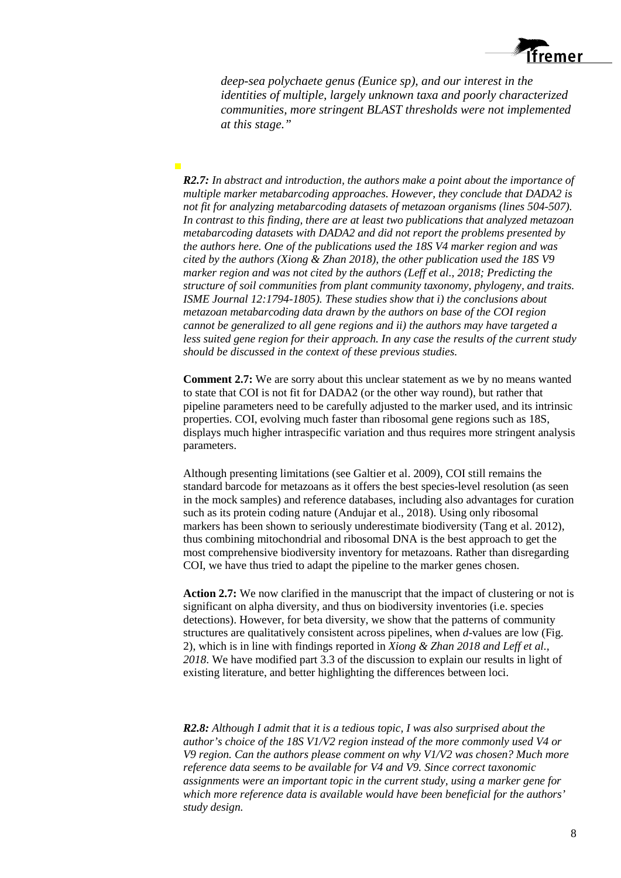

*deep-sea polychaete genus (Eunice sp), and our interest in the identities of multiple, largely unknown taxa and poorly characterized communities, more stringent BLAST thresholds were not implemented at this stage."*

*R2.7: In abstract and introduction, the authors make a point about the importance of multiple marker metabarcoding approaches. However, they conclude that DADA2 is not fit for analyzing metabarcoding datasets of metazoan organisms (lines 504-507). In contrast to this finding, there are at least two publications that analyzed metazoan metabarcoding datasets with DADA2 and did not report the problems presented by the authors here. One of the publications used the 18S V4 marker region and was cited by the authors (Xiong & Zhan 2018), the other publication used the 18S V9 marker region and was not cited by the authors (Leff et al., 2018; Predicting the structure of soil communities from plant community taxonomy, phylogeny, and traits. ISME Journal 12:1794-1805). These studies show that i) the conclusions about metazoan metabarcoding data drawn by the authors on base of the COI region cannot be generalized to all gene regions and ii) the authors may have targeted a less suited gene region for their approach. In any case the results of the current study should be discussed in the context of these previous studies.*

 $\overline{\phantom{a}}$ 

**Comment 2.7:** We are sorry about this unclear statement as we by no means wanted to state that COI is not fit for DADA2 (or the other way round), but rather that pipeline parameters need to be carefully adjusted to the marker used, and its intrinsic properties. COI, evolving much faster than ribosomal gene regions such as 18S, displays much higher intraspecific variation and thus requires more stringent analysis parameters.

Although presenting limitations (see Galtier et al. 2009), COI still remains the standard barcode for metazoans as it offers the best species-level resolution (as seen in the mock samples) and reference databases, including also advantages for curation such as its protein coding nature (Andujar et al., 2018). Using only ribosomal markers has been shown to seriously underestimate biodiversity (Tang et al. 2012), thus combining mitochondrial and ribosomal DNA is the best approach to get the most comprehensive biodiversity inventory for metazoans. Rather than disregarding COI, we have thus tried to adapt the pipeline to the marker genes chosen.

**Action 2.7:** We now clarified in the manuscript that the impact of clustering or not is significant on alpha diversity, and thus on biodiversity inventories (i.e. species detections). However, for beta diversity, we show that the patterns of community structures are qualitatively consistent across pipelines, when *d*-values are low (Fig. 2), which is in line with findings reported in *Xiong & Zhan 2018 and Leff et al., 2018*. We have modified part 3.3 of the discussion to explain our results in light of existing literature, and better highlighting the differences between loci.

*R2.8: Although I admit that it is a tedious topic, I was also surprised about the author's choice of the 18S V1/V2 region instead of the more commonly used V4 or V9 region. Can the authors please comment on why V1/V2 was chosen? Much more reference data seems to be available for V4 and V9. Since correct taxonomic assignments were an important topic in the current study, using a marker gene for which more reference data is available would have been beneficial for the authors' study design.*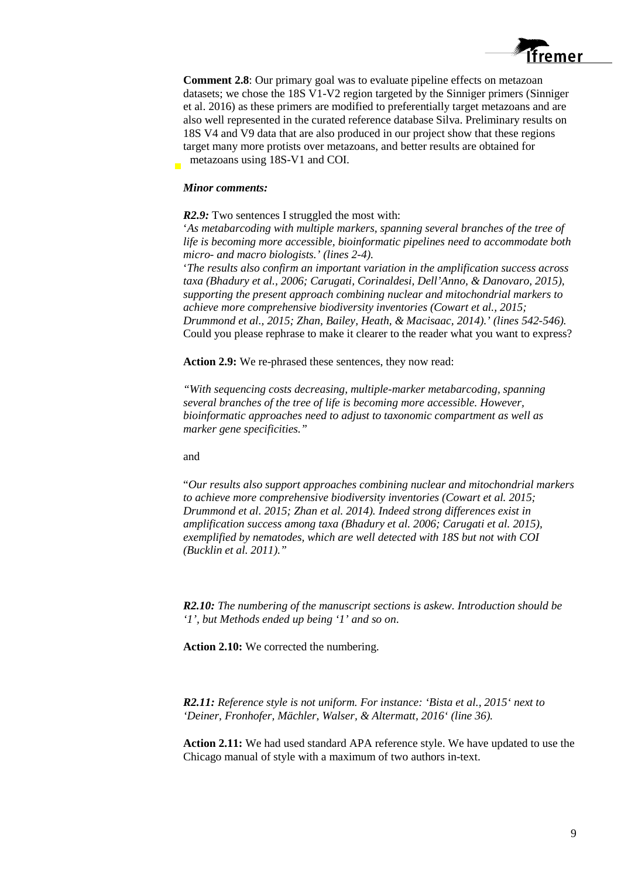

**Comment 2.8**: Our primary goal was to evaluate pipeline effects on metazoan datasets; we chose the 18S V1-V2 region targeted by the Sinniger primers (Sinniger et al. 2016) as these primers are modified to preferentially target metazoans and are also well represented in the curated reference database Silva. Preliminary results on 18S V4 and V9 data that are also produced in our project show that these regions target many more protists over metazoans, and better results are obtained for metazoans using 18S-V1 and COI.

#### *Minor comments:*

*R2.9:* Two sentences I struggled the most with:

'*As metabarcoding with multiple markers, spanning several branches of the tree of life is becoming more accessible, bioinformatic pipelines need to accommodate both micro- and macro biologists.' (lines 2-4).* 

'*The results also confirm an important variation in the amplification success across taxa (Bhadury et al., 2006; Carugati, Corinaldesi, Dell'Anno, & Danovaro, 2015), supporting the present approach combining nuclear and mitochondrial markers to achieve more comprehensive biodiversity inventories (Cowart et al., 2015; Drummond et al., 2015; Zhan, Bailey, Heath, & Macisaac, 2014).' (lines 542-546).* Could you please rephrase to make it clearer to the reader what you want to express?

**Action 2.9:** We re-phrased these sentences, they now read:

*"With sequencing costs decreasing, multiple-marker metabarcoding, spanning several branches of the tree of life is becoming more accessible. However, bioinformatic approaches need to adjust to taxonomic compartment as well as marker gene specificities."*

## and

"*Our results also support approaches combining nuclear and mitochondrial markers to achieve more comprehensive biodiversity inventories (Cowart et al. 2015; Drummond et al. 2015; Zhan et al. 2014). Indeed strong differences exist in amplification success among taxa (Bhadury et al. 2006; Carugati et al. 2015), exemplified by nematodes, which are well detected with 18S but not with COI (Bucklin et al. 2011)."*

*R2.10: The numbering of the manuscript sections is askew. Introduction should be '1', but Methods ended up being '1' and so on*.

**Action 2.10:** We corrected the numbering.

*R2.11: Reference style is not uniform. For instance: 'Bista et al., 2015' next to 'Deiner, Fronhofer, Mächler, Walser, & Altermatt, 2016' (line 36).* 

**Action 2.11:** We had used standard APA reference style. We have updated to use the Chicago manual of style with a maximum of two authors in-text.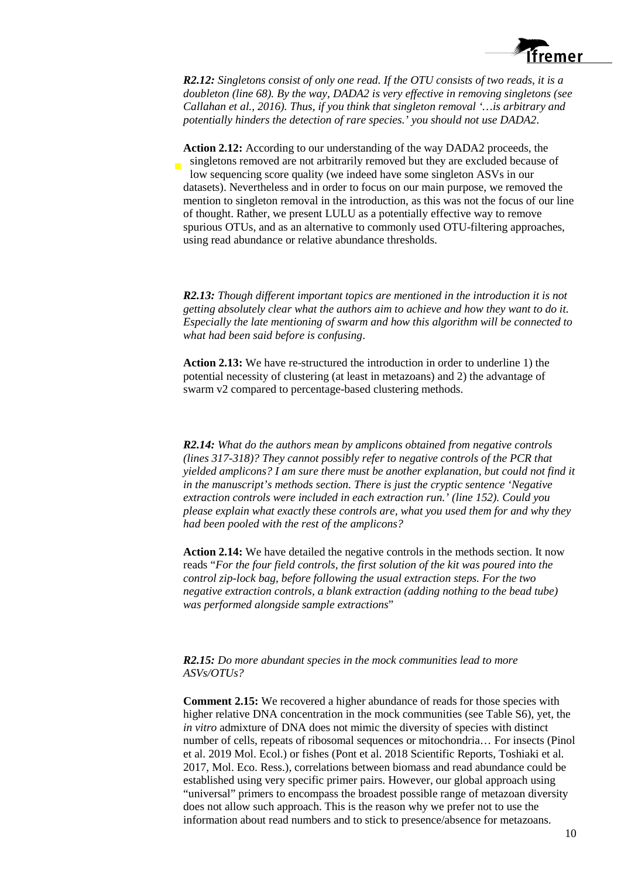

*R2.12: Singletons consist of only one read. If the OTU consists of two reads, it is a doubleton (line 68). By the way, DADA2 is very effective in removing singletons (see Callahan et al., 2016). Thus, if you think that singleton removal '…is arbitrary and potentially hinders the detection of rare species.' you should not use DADA2*.

**Action 2.12:** According to our understanding of the way DADA2 proceeds, the singletons removed are not arbitrarily removed but they are excluded because of low sequencing score quality (we indeed have some singleton ASVs in our datasets). Nevertheless and in order to focus on our main purpose, we removed the mention to singleton removal in the introduction, as this was not the focus of our line of thought. Rather, we present LULU as a potentially effective way to remove spurious OTUs, and as an alternative to commonly used OTU-filtering approaches, using read abundance or relative abundance thresholds.

*R2.13: Though different important topics are mentioned in the introduction it is not getting absolutely clear what the authors aim to achieve and how they want to do it. Especially the late mentioning of swarm and how this algorithm will be connected to what had been said before is confusing*.

**Action 2.13:** We have re-structured the introduction in order to underline 1) the potential necessity of clustering (at least in metazoans) and 2) the advantage of swarm v2 compared to percentage-based clustering methods.

*R2.14: What do the authors mean by amplicons obtained from negative controls (lines 317-318)? They cannot possibly refer to negative controls of the PCR that yielded amplicons? I am sure there must be another explanation, but could not find it in the manuscript's methods section. There is just the cryptic sentence 'Negative extraction controls were included in each extraction run.' (line 152). Could you please explain what exactly these controls are, what you used them for and why they had been pooled with the rest of the amplicons?*

**Action 2.14:** We have detailed the negative controls in the methods section. It now reads "*For the four field controls, the first solution of the kit was poured into the control zip-lock bag, before following the usual extraction steps. For the two negative extraction controls, a blank extraction (adding nothing to the bead tube) was performed alongside sample extractions*"

#### *R2.15: Do more abundant species in the mock communities lead to more ASVs/OTUs?*

**Comment 2.15:** We recovered a higher abundance of reads for those species with higher relative DNA concentration in the mock communities (see Table S6), yet, the *in vitro* admixture of DNA does not mimic the diversity of species with distinct number of cells, repeats of ribosomal sequences or mitochondria… For insects (Pinol et al. 2019 Mol. Ecol.) or fishes (Pont et al. 2018 Scientific Reports, Toshiaki et al. 2017, Mol. Eco. Ress.), correlations between biomass and read abundance could be established using very specific primer pairs. However, our global approach using "universal" primers to encompass the broadest possible range of metazoan diversity does not allow such approach. This is the reason why we prefer not to use the information about read numbers and to stick to presence/absence for metazoans.